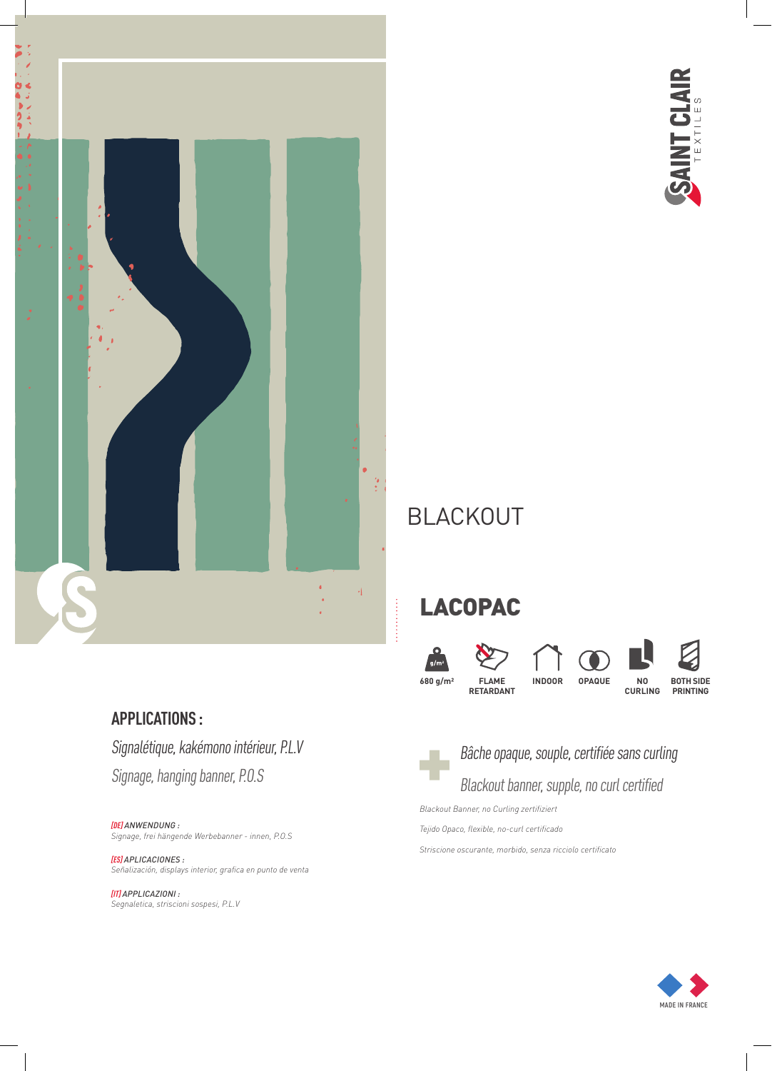

# SAINT CLAIR

## BLACKOUT

# LACOPAC









**CURLING**



**PRINTING**

### **APPLICATIONS :**

Signalétique, kakémono intérieur, P.L.V Signage, hanging banner, P.O.S

*[DE] ANWENDUNG : Signage, frei hängende Werbebanner - innen, P.O.S*

#### *[ES] APLICACIONES : Señalización, displays interior, grafica en punto de venta*

*[IT] APPLICAZIONI : Segnaletica, striscioni sospesi, P.L.V*



## Bâche opaque, souple, certifiée sans curling

## Blackout banner, supple, no curl certified

*Blackout Banner, no Curling zertifiziert*

*Tejido Opaco, flexible, no-curl certificado*

*Striscione oscurante, morbido, senza ricciolo certificato*